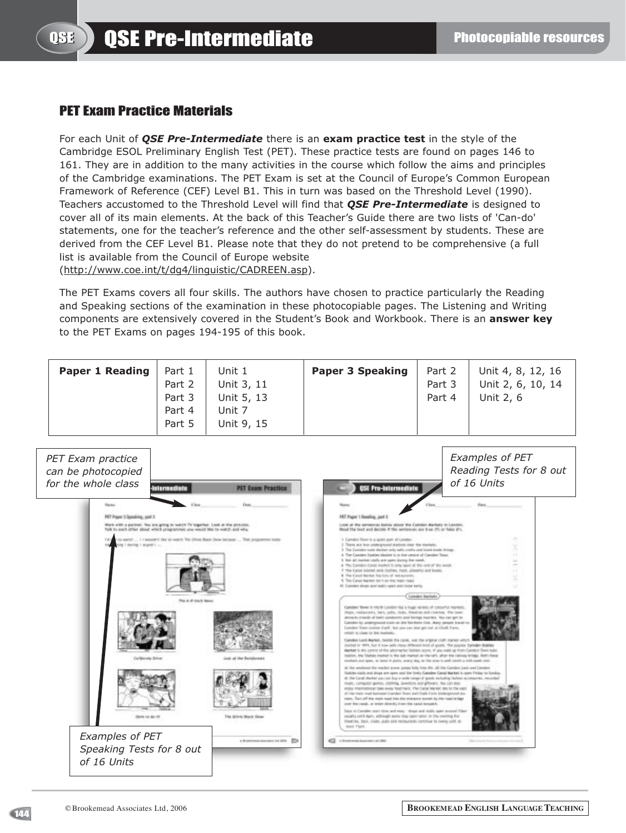## PET Exam Practice Materials

For each Unit of *QSE Pre-Intermediate* there is an **exam practice test** in the style of the Cambridge ESOL Preliminary English Test (PET). These practice tests are found on pages 146 to 161. They are in addition to the many activities in the course which follow the aims and principles of the Cambridge examinations. The PET Exam is set at the Council of Europe's Common European Framework of Reference (CEF) Level B1. This in turn was based on the Threshold Level (1990). Teachers accustomed to the Threshold Level will find that *QSE Pre-Intermediate* is designed to cover all of its main elements. At the back of this Teacher's Guide there are two lists of 'Can-do' statements, one for the teacher's reference and the other self-assessment by students. These are derived from the CEF Level B1. Please note that they do not pretend to be comprehensive (a full list is available from the Council of Europe website

(http://www.coe.int/t/dg4/linguistic/CADREEN.asp).

The PET Exams covers all four skills. The authors have chosen to practice particularly the Reading and Speaking sections of the examination in these photocopiable pages. The Listening and Writing components are extensively covered in the Student's Book and Workbook. There is an **answer key** to the PET Exams on pages 194-195 of this book.

| <b>Paper 1 Reading</b> | Part 1<br>Part 2 | Unit 1<br>Unit 3, 11 | <b>Paper 3 Speaking</b> | Part 2<br>Part 3 | Unit 4, 8, 12, 16<br>Unit 2, 6, 10, 14 |
|------------------------|------------------|----------------------|-------------------------|------------------|----------------------------------------|
|                        | Part 3           | Unit 5, 13           |                         | Part 4           | Unit 2, 6                              |
|                        | Part 4<br>Part 5 | Unit 7<br>Unit 9, 15 |                         |                  |                                        |